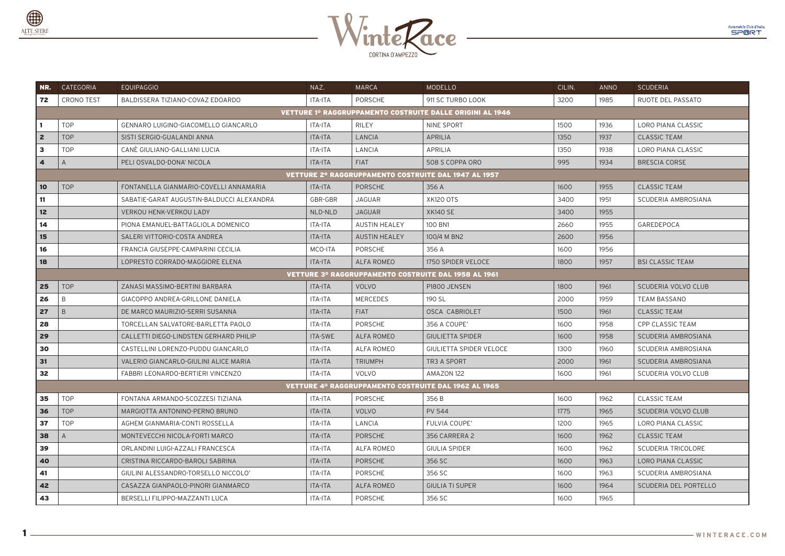

 $\blacksquare$ 



|                                                           | <b>NR.</b> CATEGORIA                                 | EQUIPAGGIO                                | NAZ.           | MARCA                | <b>MODELLO</b>                 | CILIN. | ANNO | <b>SCUDERIA</b>              |  |  |  |
|-----------------------------------------------------------|------------------------------------------------------|-------------------------------------------|----------------|----------------------|--------------------------------|--------|------|------------------------------|--|--|--|
| 72                                                        | <b>CRONO TEST</b>                                    | BALDISSERA TIZIANO-COVAZ EDOARDO          | <b>ITA-ITA</b> | <b>PORSCHE</b>       | 911 SC TURBO LOOK              | 3200   | 1985 | RUOTE DEL PASSATO            |  |  |  |
| VETTURE 1º RAGGRUPPAMENTO COSTRUITE DALLE ORIGINI AL 1946 |                                                      |                                           |                |                      |                                |        |      |                              |  |  |  |
| 1.                                                        | <b>TOP</b>                                           | GENNARO LUIGINO-GIACOMELLO GIANCARLO      | <b>ITA-ITA</b> | <b>RILEY</b>         | NINE SPORT                     | 1500   | 1936 | LORO PIANA CLASSIC           |  |  |  |
| $\mathbf{z}$                                              | <b>TOP</b>                                           | SISTI SERGIO-GUALANDI ANNA                | ITA-ITA        | LANCIA               | APRILIA                        | 1350   | 1937 | <b>CLASSIC TEAM</b>          |  |  |  |
| з                                                         | <b>TOP</b>                                           | CANÈ GIULIANO-GALLIANI LUCIA              | ITA-ITA        | LANCIA               | APRILIA                        | 1350   | 1938 | LORO PIANA CLASSIC           |  |  |  |
| 4                                                         | A                                                    | PELI OSVALDO-DONA' NICOLA                 | ITA-ITA        | <b>FIAT</b>          | 508 S COPPA ORO                | 995    | 1934 | <b>BRESCIA CORSE</b>         |  |  |  |
|                                                           | VETTURE 2° RAGGRUPPAMENTO COSTRUITE DAL 1947 AL 1957 |                                           |                |                      |                                |        |      |                              |  |  |  |
| 10                                                        | <b>TOP</b>                                           | FONTANELLA GIANMARIO-COVELLI ANNAMARIA    | <b>ITA-ITA</b> | <b>PORSCHE</b>       | 356 A                          | 1600   | 1955 | <b>CLASSIC TEAM</b>          |  |  |  |
| 11                                                        |                                                      | SABATIE-GARAT AUGUSTIN-BALDUCCI ALEXANDRA | GBR-GBR        | <b>JAGUAR</b>        | <b>XK120 OTS</b>               | 3400   | 1951 | SCUDERIA AMBROSIANA          |  |  |  |
| 12 <sub>2</sub>                                           |                                                      | <b>VERKOU HENK-VERKOU LADY</b>            | NLD-NLD        | <b>JAGUAR</b>        | <b>XK140 SE</b>                | 3400   | 1955 |                              |  |  |  |
| 14                                                        |                                                      | PIONA EMANUEL-BATTAGLIOLA DOMENICO        | ITA-ITA        | <b>AUSTIN HEALEY</b> | 100 BN1                        | 2660   | 1955 | GAREDEPOCA                   |  |  |  |
| 15                                                        |                                                      | SALERI VITTORIO-COSTA ANDREA              | ITA-ITA        | <b>AUSTIN HEALEY</b> | 100/4 M BN2                    | 2600   | 1956 |                              |  |  |  |
| 16                                                        |                                                      | FRANCIA GIUSEPPE-CAMPARINI CECILIA        | MCO-ITA        | PORSCHE              | 356 A                          | 1600   | 1956 |                              |  |  |  |
| 18                                                        |                                                      | LOPRESTO CORRADO-MAGGIORE ELENA           | <b>ITA-ITA</b> | <b>ALFA ROMEO</b>    | 1750 SPIDER VELOCE             | 1800   | 1957 | <b>BSI CLASSIC TEAM</b>      |  |  |  |
| VETTURE 3º RAGGRUPPAMENTO COSTRUITE DAL 1958 AL 1961      |                                                      |                                           |                |                      |                                |        |      |                              |  |  |  |
| 25                                                        | <b>TOP</b>                                           | ZANASI MASSIMO-BERTINI BARBARA            | <b>ITA-ITA</b> | <b>VOLVO</b>         | P1800 JENSEN                   | 1800   | 1961 | SCUDERIA VOLVO CLUB          |  |  |  |
| 26                                                        | B                                                    | GIACOPPO ANDREA-GRILLONE DANIELA          | <b>ITA-ITA</b> | <b>MERCEDES</b>      | 190 SL                         | 2000   | 1959 | <b>TEAM BASSANO</b>          |  |  |  |
| 27                                                        | $\mathsf{B}$                                         | DE MARCO MAURIZIO-SERRI SUSANNA           | ITA-ITA        | <b>FIAT</b>          | <b>OSCA CABRIOLET</b>          | 1500   | 1961 | <b>CLASSIC TEAM</b>          |  |  |  |
| 28                                                        |                                                      | TORCELLAN SALVATORE-BARLETTA PAOLO        | ITA-ITA        | PORSCHE              | 356 A COUPE'                   | 1600   | 1958 | CPP CLASSIC TEAM             |  |  |  |
| 29                                                        |                                                      | CALLETTI DIEGO-LINDSTEN GERHARD PHILIP    | ITA-SWE        | <b>ALFA ROMEO</b>    | <b>GIULIETTA SPIDER</b>        | 1600   | 1958 | SCUDERIA AMBROSIANA          |  |  |  |
| 30                                                        |                                                      | CASTELLINI LORENZO-PUDDU GIANCARLO        | <b>ITA-ITA</b> | <b>ALFA ROMEO</b>    | <b>GIULIETTA SPIDER VELOCE</b> | 1300   | 1960 | SCUDERIA AMBROSIANA          |  |  |  |
| 31                                                        |                                                      | VALERIO GIANCARLO-GIULINI ALICE MARIA     | <b>ITA-ITA</b> | <b>TRIUMPH</b>       | TR3 A SPORT                    | 2000   | 1961 | SCUDERIA AMBROSIANA          |  |  |  |
| 32                                                        |                                                      | FABBRI LEONARDO-BERTIERI VINCENZO         | ITA-ITA        | VOLVO                | AMAZON 122                     | 1600   | 1961 | SCUDERIA VOLVO CLUB          |  |  |  |
|                                                           | VETTURE 4° RAGGRUPPAMENTO COSTRUITE DAL 1962 AL 1965 |                                           |                |                      |                                |        |      |                              |  |  |  |
| 35                                                        | <b>TOP</b>                                           | FONTANA ARMANDO-SCOZZESI TIZIANA          | <b>ITA-ITA</b> | <b>PORSCHE</b>       | 356 B                          | 1600   | 1962 | <b>CLASSIC TEAM</b>          |  |  |  |
| 36                                                        | <b>TOP</b>                                           | MARGIOTTA ANTONINO-PERNO BRUNO            | ITA-ITA        | <b>VOLVO</b>         | <b>PV 544</b>                  | 1775   | 1965 | SCUDERIA VOLVO CLUB          |  |  |  |
| 37                                                        | <b>TOP</b>                                           | AGHEM GIANMARIA-CONTI ROSSELLA            | ITA-ITA        | LANCIA               | FULVIA COUPE'                  | 1200   | 1965 | LORO PIANA CLASSIC           |  |  |  |
| 38                                                        | $\mathsf{A}$                                         | MONTEVECCHI NICOLA-FORTI MARCO            | <b>ITA-ITA</b> | PORSCHE              | 356 CARRERA 2                  | 1600   | 1962 | <b>CLASSIC TEAM</b>          |  |  |  |
| 39                                                        |                                                      | ORLANDINI LUIGI-AZZALI FRANCESCA          | <b>ITA-ITA</b> | <b>ALFA ROMEO</b>    | <b>GIULIA SPIDER</b>           | 1600   | 1962 | SCUDERIA TRICOLORE           |  |  |  |
| 40                                                        |                                                      | CRISTINA RICCARDO-BAROLI SABRINA          | ITA-ITA        | PORSCHE              | 356 SC                         | 1600   | 1963 | LORO PIANA CLASSIC           |  |  |  |
| 41                                                        |                                                      | GIULINI ALESSANDRO-TORSELLO NICCOLO'      | ITA-ITA        | PORSCHE              | 356 SC                         | 1600   | 1963 | SCUDERIA AMBROSIANA          |  |  |  |
| 42                                                        |                                                      | CASAZZA GIANPAOLO-PINORI GIANMARCO        | ITA-ITA        | <b>ALFA ROMEO</b>    | <b>GIULIA TI SUPER</b>         | 1600   | 1964 | <b>SCUDERIA DEL PORTELLO</b> |  |  |  |
| 43                                                        |                                                      | BERSELLI FILIPPO-MAZZANTI LUCA            | <b>ITA-ITA</b> | PORSCHE              | 356 SC                         | 1600   | 1965 |                              |  |  |  |